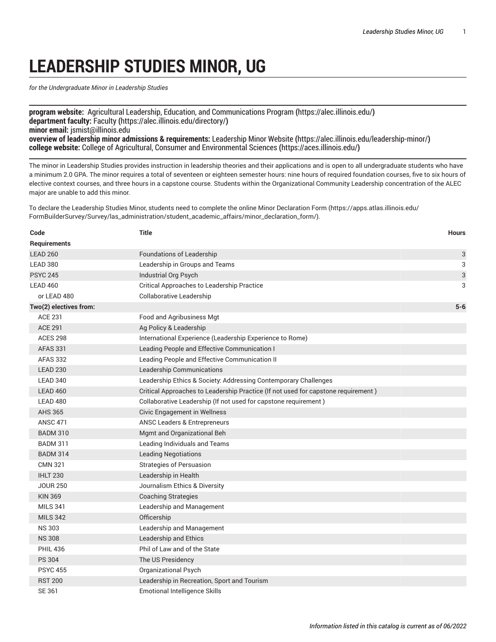## **LEADERSHIP STUDIES MINOR, UG**

*for the Undergraduate Minor in Leadership Studies*

**program website:** Agricultural Leadership, Education, and [Communications](https://alec.illinois.edu/) Program **(**<https://alec.illinois.edu/>**) department faculty:** [Faculty](https://alec.illinois.edu/directory/) **(**<https://alec.illinois.edu/directory/>**) minor email:** [jsmist@illinois.edu](mailto:jsmist@illinois.edu) **overview of leadership minor admissions & requirements:** [Leadership](https://alec.illinois.edu/leadership-minor/) Minor Website **(**<https://alec.illinois.edu/leadership-minor/>**) college website:** College of Agricultural, Consumer and [Environmental](https://aces.illinois.edu/) Sciences **(**<https://aces.illinois.edu/>**)** 

The minor in Leadership Studies provides instruction in leadership theories and their applications and is open to all undergraduate students who have a minimum 2.0 GPA. The minor requires a total of seventeen or eighteen semester hours: nine hours of required foundation courses, five to six hours of elective context courses, and three hours in a capstone course. Students within the Organizational Community Leadership concentration of the ALEC major are unable to add this minor.

To declare the Leadership Studies Minor, students need to complete the online Minor [Declaration](https://apps.atlas.illinois.edu/FormBuilderSurvey/Survey/las_administration/student_academic_affairs/minor_declaration_form/) Form [\(https://apps.atlas.illinois.edu/](https://apps.atlas.illinois.edu/FormBuilderSurvey/Survey/las_administration/student_academic_affairs/minor_declaration_form/) [FormBuilderSurvey/Survey/las\\_administration/student\\_academic\\_affairs/minor\\_declaration\\_form/\)](https://apps.atlas.illinois.edu/FormBuilderSurvey/Survey/las_administration/student_academic_affairs/minor_declaration_form/).

| Code                   | <b>Title</b>                                                                      | <b>Hours</b> |
|------------------------|-----------------------------------------------------------------------------------|--------------|
| <b>Requirements</b>    |                                                                                   |              |
| <b>LEAD 260</b>        | <b>Foundations of Leadership</b>                                                  | 3            |
| <b>LEAD 380</b>        | Leadership in Groups and Teams                                                    | 3            |
| <b>PSYC 245</b>        | Industrial Org Psych                                                              | 3            |
| <b>LEAD 460</b>        | <b>Critical Approaches to Leadership Practice</b>                                 | 3            |
| or LEAD 480            | <b>Collaborative Leadership</b>                                                   |              |
| Two(2) electives from: |                                                                                   | $5-6$        |
| <b>ACE 231</b>         | Food and Agribusiness Mgt                                                         |              |
| <b>ACE 291</b>         | Ag Policy & Leadership                                                            |              |
| <b>ACES 298</b>        | International Experience (Leadership Experience to Rome)                          |              |
| <b>AFAS 331</b>        | Leading People and Effective Communication I                                      |              |
| <b>AFAS 332</b>        | Leading People and Effective Communication II                                     |              |
| <b>LEAD 230</b>        | Leadership Communications                                                         |              |
| LEAD 340               | Leadership Ethics & Society: Addressing Contemporary Challenges                   |              |
| LEAD 460               | Critical Approaches to Leadership Practice (If not used for capstone requirement) |              |
| LEAD 480               | Collaborative Leadership (If not used for capstone requirement)                   |              |
| <b>AHS 365</b>         | Civic Engagement in Wellness                                                      |              |
| <b>ANSC 471</b>        | ANSC Leaders & Entrepreneurs                                                      |              |
| <b>BADM 310</b>        | Mgmt and Organizational Beh                                                       |              |
| <b>BADM 311</b>        | Leading Individuals and Teams                                                     |              |
| <b>BADM 314</b>        | <b>Leading Negotiations</b>                                                       |              |
| <b>CMN 321</b>         | <b>Strategies of Persuasion</b>                                                   |              |
| <b>IHLT 230</b>        | Leadership in Health                                                              |              |
| <b>JOUR 250</b>        | Journalism Ethics & Diversity                                                     |              |
| <b>KIN 369</b>         | <b>Coaching Strategies</b>                                                        |              |
| <b>MILS 341</b>        | Leadership and Management                                                         |              |
| <b>MILS 342</b>        | Officership                                                                       |              |
| <b>NS 303</b>          | Leadership and Management                                                         |              |
| <b>NS 308</b>          | Leadership and Ethics                                                             |              |
| <b>PHIL 436</b>        | Phil of Law and of the State                                                      |              |
| <b>PS 304</b>          | The US Presidency                                                                 |              |
| <b>PSYC 455</b>        | Organizational Psych                                                              |              |
| <b>RST 200</b>         | Leadership in Recreation, Sport and Tourism                                       |              |
| <b>SE 361</b>          | <b>Emotional Intelligence Skills</b>                                              |              |